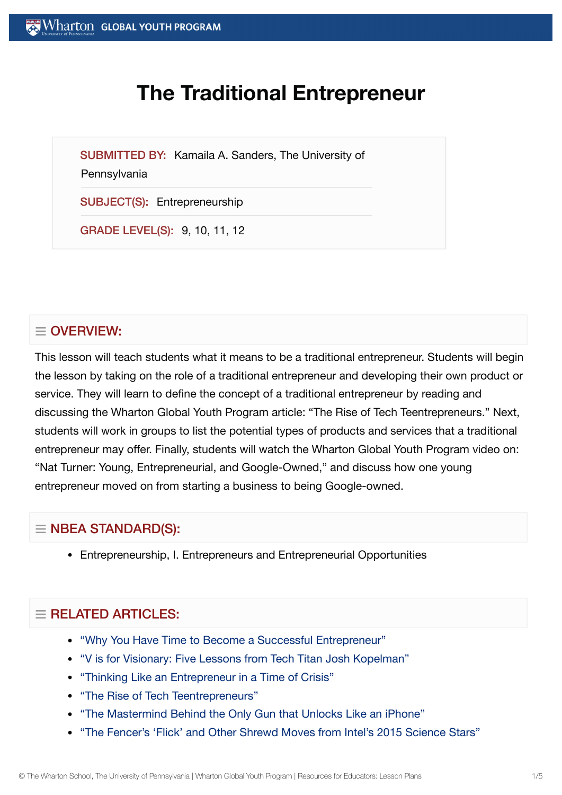# **The Traditional Entrepreneur**

SUBMITTED BY: Kamaila A. Sanders, The University of

#### **Pennsylvania**

SUBJECT(S): Entrepreneurship

GRADE LEVEL(S): 9, 10, 11, 12

# $\equiv$  OVERVIEW:

This lesson will teach students what it means to be a traditional entrepreneur. Students will begin the lesson by taking on the role of a traditional entrepreneur and developing their own product or service. They will learn to define the concept of a traditional entrepreneur by reading and discussing the Wharton Global Youth Program article: "The Rise of Tech Teentrepreneurs." Next, students will work in groups to list the potential types of products and services that a traditional entrepreneur may offer. Finally, students will watch the Wharton Global Youth Program video on: "Nat Turner: Young, Entrepreneurial, and Google-Owned," and discuss how one young entrepreneur moved on from starting a business to being Google-owned.

# $\equiv$  NBEA STANDARD(S):

Entrepreneurship, I. Entrepreneurs and Entrepreneurial Opportunities

# $=$  RELATED ARTICLES:

- "Why You Have Time to Become a Successful [Entrepreneur"](https://globalyouth.wharton.upenn.edu/articles/time-become-successful-entrepreneur/)
- "V is for Visionary: Five [Lessons from](https://globalyouth.wharton.upenn.edu/articles/v-is-for-visionary-five-lessons-from-tech-titan-josh-kopelman/) Tech Titan Josh Kopelman"
- "Thinking Like an [Entrepreneur](https://globalyouth.wharton.upenn.edu/articles/adapt-thinking-like-entrepreneur-time-crisis/) in a Time of Crisis"
- "The Rise of Tech [Teentrepreneurs"](https://globalyouth.wharton.upenn.edu/articles/the-rise-of-tech-teentrepreneurs/)
- "The Mastermind Behind the Only Gun that [Unlocks Like](https://globalyouth.wharton.upenn.edu/articles/mastermind-behind-only-gun-unlocks-like-iphone/) an iPhone"
- "The [Fencer's 'Flick'](https://globalyouth.wharton.upenn.edu/articles/shrewd-moves-from-intels-2015-science-stars/) and Other Shrewd Moves from Intel's 2015 Science Stars"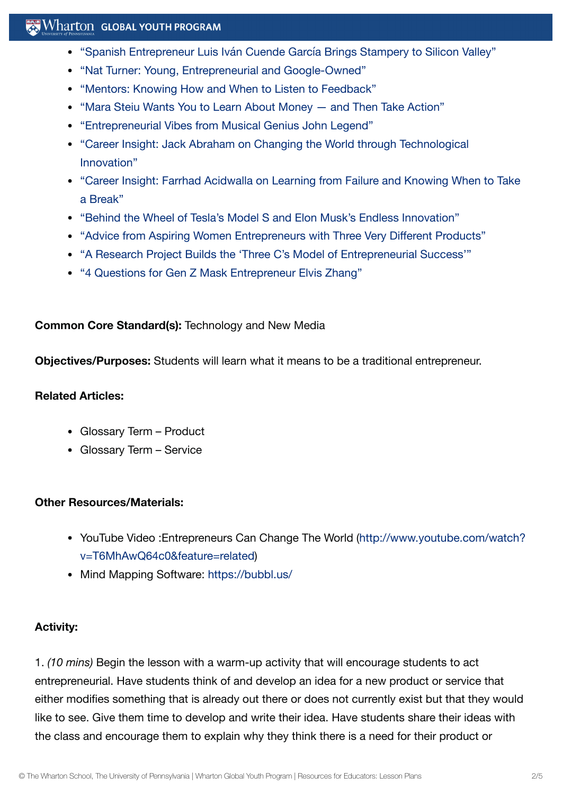# **Wharton GLOBAL YOUTH PROGRAM**

- "Spanish Entrepreneur Luis Iván Cuende García [Brings Stampery to](https://globalyouth.wharton.upenn.edu/articles/spanish-entrepreneur-luis-ivan-cuende-brings-stampery-to-silicon-valley/) Silicon Valley"
- "Nat Turner: Young, Entrepreneurial and [Google-Owned"](https://globalyouth.wharton.upenn.edu/articles/nat-turner-young-entrepreneurial-and-google-owned/)
- "Mentors: Knowing How and When to Listen to [Feedback"](https://globalyouth.wharton.upenn.edu/articles/mentors-knowing-listen-feedback-advice/)
- "Mara Steiu Wants You to Learn About [Money and](https://globalyouth.wharton.upenn.edu/articles/learn_about_money/) Then Take Action"
- ["Entrepreneurial](https://globalyouth.wharton.upenn.edu/articles/entrepreneurial-vibes-musical-genius-john-legend/) Vibes from Musical Genius John Legend"
- "Career Insight: Jack Abraham on Changing the World through [Technological](https://globalyouth.wharton.upenn.edu/articles/jack-abraham-on-technological-innovation/) Innovation"
- "Career Insight: Farrhad [Acidwalla](https://globalyouth.wharton.upenn.edu/articles/career-insight-farrhad-acidwalla-learning-failure-knowing-take-break/) on Learning from Failure and Knowing When to Take a Break"
- "Behind the Wheel of Tesla's Model S and Elon [Musk's Endless Innovation"](https://globalyouth.wharton.upenn.edu/articles/behind-wheel-teslas-model-s-elon-musks-endless-innovation/)
- "Advice from Aspiring Women [Entrepreneurs with](https://globalyouth.wharton.upenn.edu/articles/advice-aspiring-women-entrepreneurs/) Three Very Different Products"
- "A Research Project Builds the 'Three C's Model of [Entrepreneurial](https://globalyouth.wharton.upenn.edu/articles/three-cs-model-entrepreneurial-success/) Success'"
- "4 [Questions for](https://globalyouth.wharton.upenn.edu/articles/4-questions-mask-entrepreneur-elvis-zhang/) Gen Z Mask Entrepreneur Elvis Zhang"

#### **Common Core Standard(s):** Technology and New Media

**Objectives/Purposes:** Students will learn what it means to be a traditional entrepreneur.

#### **Related Articles:**

- Glossary Term Product
- Glossary Term Service

#### **Other Resources/Materials:**

- YouTube Video :Entrepreneurs Can Change The World (http://www.youtube.com/watch? [v=T6MhAwQ64c0&feature=related\)](http://www.youtube.com/watch?v=T6MhAwQ64c0&feature=related)
- Mind Mapping Software: <https://bubbl.us/>

## **Activity:**

1. *(10 mins)* Begin the lesson with a warm-up activity that will encourage students to act entrepreneurial. Have students think of and develop an idea for a new product or service that either modifies something that is already out there or does not currently exist but that they would like to see. Give them time to develop and write their idea. Have students share their ideas with the class and encourage them to explain why they think there is a need for their product or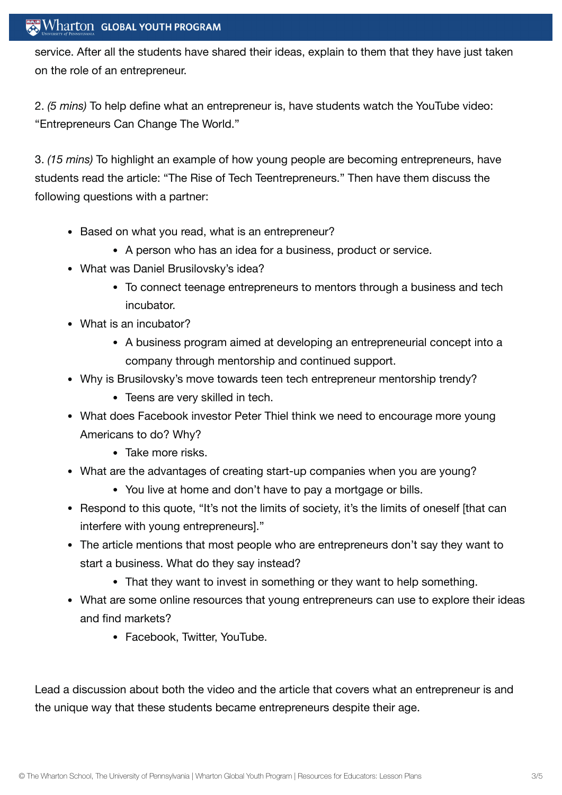## $\operatorname{Wharton}\nolimits$  global youth program

service. After all the students have shared their ideas, explain to them that they have just taken on the role of an entrepreneur.

2. *(5 mins)* To help define what an entrepreneur is, have students watch the YouTube video: "Entrepreneurs Can Change The World."

3. *(15 mins)* To highlight an example of how young people are becoming entrepreneurs, have students read the article: "The Rise of Tech Teentrepreneurs." Then have them discuss the following questions with a partner:

- Based on what you read, what is an entrepreneur?
	- A person who has an idea for a business, product or service.
- What was Daniel Brusilovsky's idea?
	- To connect teenage entrepreneurs to mentors through a business and tech incubator.
- What is an incubator?
	- A business program aimed at developing an entrepreneurial concept into a company through mentorship and continued support.
- Why is Brusilovsky's move towards teen tech entrepreneur mentorship trendy?
	- Teens are very skilled in tech.
- What does Facebook investor Peter Thiel think we need to encourage more young Americans to do? Why?
	- Take more risks.
- What are the advantages of creating start-up companies when you are young?
	- You live at home and don't have to pay a mortgage or bills.
- Respond to this quote, "It's not the limits of society, it's the limits of oneself [that can interfere with young entrepreneurs]."
- The article mentions that most people who are entrepreneurs don't say they want to start a business. What do they say instead?
	- That they want to invest in something or they want to help something.
- What are some online resources that young entrepreneurs can use to explore their ideas and find markets?
	- Facebook, Twitter, YouTube.

Lead a discussion about both the video and the article that covers what an entrepreneur is and the unique way that these students became entrepreneurs despite their age.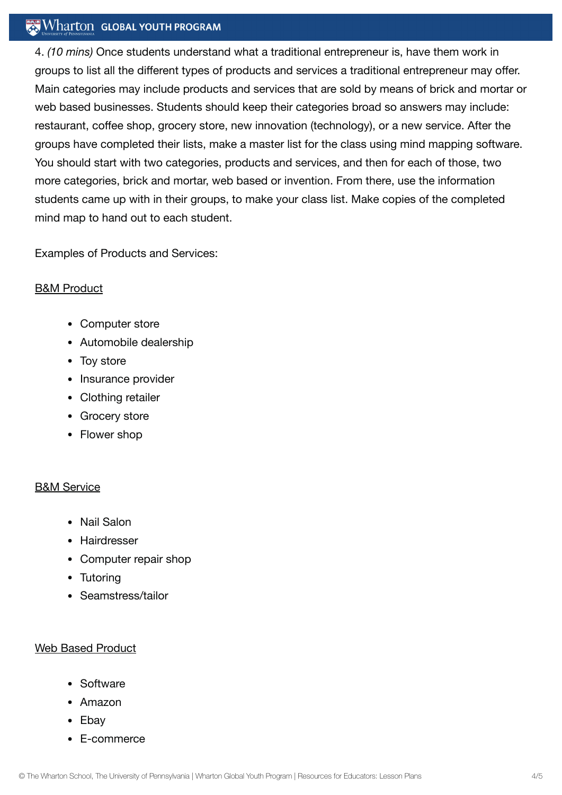## **Wharton GLOBAL YOUTH PROGRAM**

4. *(10 mins)* Once students understand what a traditional entrepreneur is, have them work in groups to list all the different types of products and services a traditional entrepreneur may offer. Main categories may include products and services that are sold by means of brick and mortar or web based businesses. Students should keep their categories broad so answers may include: restaurant, coffee shop, grocery store, new innovation (technology), or a new service. After the groups have completed their lists, make a master list for the class using mind mapping software. You should start with two categories, products and services, and then for each of those, two more categories, brick and mortar, web based or invention. From there, use the information students came up with in their groups, to make your class list. Make copies of the completed mind map to hand out to each student.

Examples of Products and Services:

#### B&M Product

- Computer store
- Automobile dealership
- Toy store
- Insurance provider
- Clothing retailer
- Grocery store
- Flower shop

## B&M Service

- Nail Salon
- Hairdresser
- Computer repair shop
- Tutoring
- Seamstress/tailor

#### Web Based Product

- Software
- Amazon
- Ebav
- E-commerce